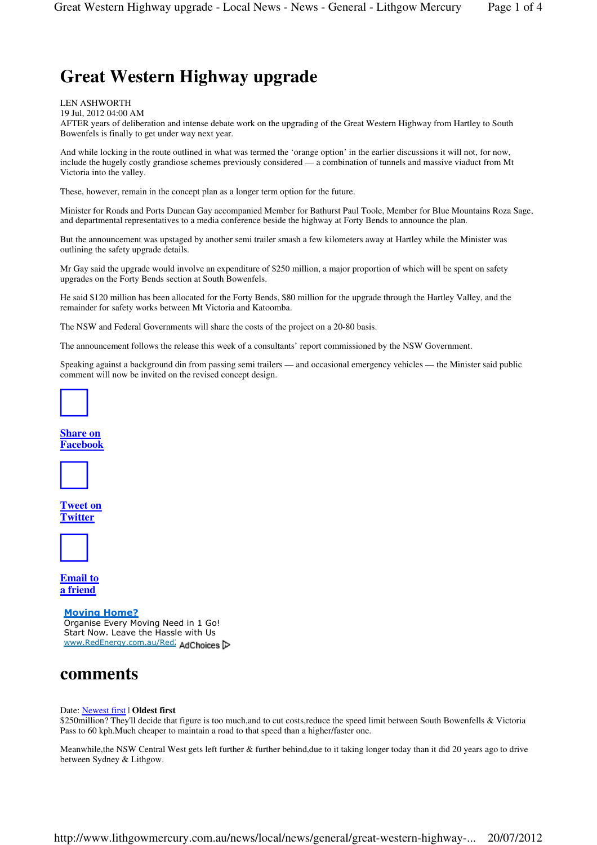# **Great Western Highway upgrade**

#### LEN ASHWORTH

19 Jul, 2012 04:00 AM

AFTER years of deliberation and intense debate work on the upgrading of the Great Western Highway from Hartley to South Bowenfels is finally to get under way next year.

And while locking in the route outlined in what was termed the 'orange option' in the earlier discussions it will not, for now, include the hugely costly grandiose schemes previously considered — a combination of tunnels and massive viaduct from Mt Victoria into the valley.

These, however, remain in the concept plan as a longer term option for the future.

Minister for Roads and Ports Duncan Gay accompanied Member for Bathurst Paul Toole, Member for Blue Mountains Roza Sage, and departmental representatives to a media conference beside the highway at Forty Bends to announce the plan.

But the announcement was upstaged by another semi trailer smash a few kilometers away at Hartley while the Minister was outlining the safety upgrade details.

Mr Gay said the upgrade would involve an expenditure of \$250 million, a major proportion of which will be spent on safety upgrades on the Forty Bends section at South Bowenfels.

He said \$120 million has been allocated for the Forty Bends, \$80 million for the upgrade through the Hartley Valley, and the remainder for safety works between Mt Victoria and Katoomba.

The NSW and Federal Governments will share the costs of the project on a 20-80 basis.

The announcement follows the release this week of a consultants' report commissioned by the NSW Government.

Speaking against a background din from passing semi trailers — and occasional emergency vehicles — the Minister said public comment will now be invited on the revised concept design.



### **Share on Facebook**



**Tweet on Twitter**



**Email to a friend**

#### Moving Home?

Organise Every Moving Need in 1 Go! Start Now. Leave the Hassle with Us www.RedEnergy.com.au/Red2 AdChoices

## **comments**

#### Date: Newest first | **Oldest first**

\$250 million? They'll decide that figure is too much,and to cut costs,reduce the speed limit between South Bowenfells & Victoria Pass to 60 kph.Much cheaper to maintain a road to that speed than a higher/faster one.

Meanwhile,the NSW Central West gets left further & further behind,due to it taking longer today than it did 20 years ago to drive between Sydney & Lithgow.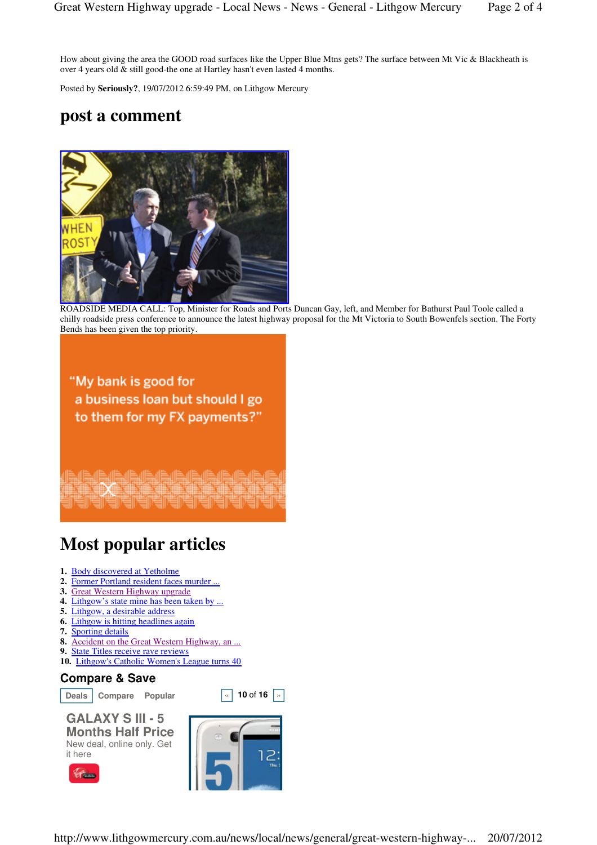How about giving the area the GOOD road surfaces like the Upper Blue Mtns gets? The surface between Mt Vic & Blackheath is over 4 years old & still good-the one at Hartley hasn't even lasted 4 months.

Posted by **Seriously?**, 19/07/2012 6:59:49 PM, on Lithgow Mercury

## **post a comment**



ROADSIDE MEDIA CALL: Top, Minister for Roads and Ports Duncan Gay, left, and Member for Bathurst Paul Toole called a chilly roadside press conference to announce the latest highway proposal for the Mt Victoria to South Bowenfels section. The Forty Bends has been given the top priority.

"My bank is good for a business loan but should I go to them for my FX payments?"

# **Most popular articles**

- **1.** Body discovered at Yetholme
- **2.** Former Portland resident faces murder ...
- **3.** Great Western Highway upgrade
- **4.** Lithgow's state mine has been taken by ...
- **5.** Lithgow, a desirable address
- **6.** Lithgow is hitting headlines again
- **7.** Sporting details
- **8.** Accident on the Great Western Highway, an ...
- **9.** State Titles receive rave reviews
- **10.** Lithgow's Catholic Women's League turns 40

### **Compare & Save**

**Deals Compare Popular a a i s 10 of 16 i s** 



**GALAXY S III - 5 Months Half Price** New deal, online only. Get it here

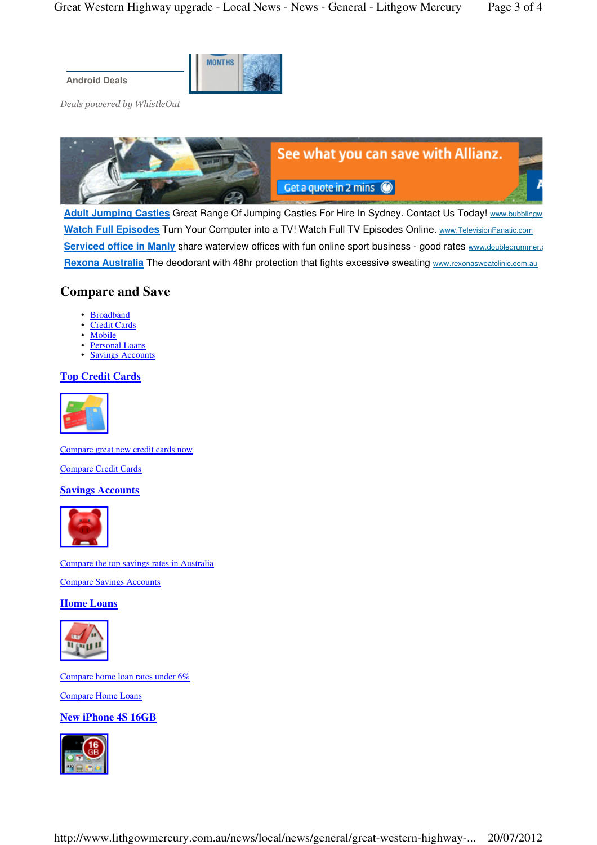**MONTHS Android Deals**

Deals powered by WhistleOut



Adult Jumping Castles Great Range Of Jumping Castles For Hire In Sydney. Contact Us Today! www.bubblingw **Watch Full Episodes** Turn Your Computer into a TV! Watch Full TV Episodes Online. www.TelevisionFanatic.com **Serviced office in Manly** share waterview offices with fun online sport business - good rates www.doubledrummer.com **Rexona Australia** The deodorant with 48hr protection that fights excessive sweating www.rexonasweatclinic.com.au

## **Compare and Save**

- Broadband
- Credit Cards
- **Mobile**
- Personal Loans
- Savings Accounts

### **Top Credit Cards**



Compare great new credit cards now

Compare Credit Cards

### **Savings Accounts**



Compare the top savings rates in Australia

Compare Savings Accounts

**Home Loans** 



Compare home loan rates under 6%

Compare Home Loans

**New iPhone 4S 16GB**